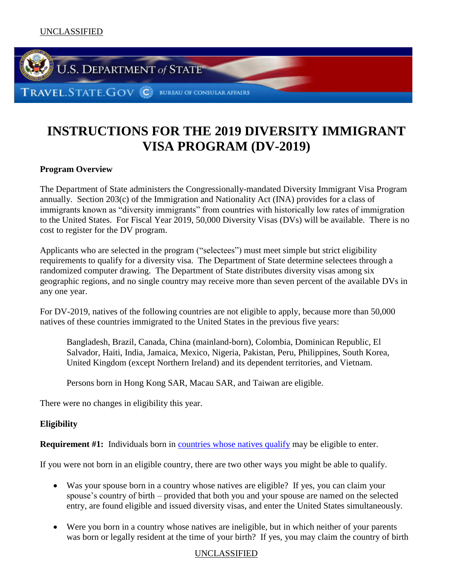

# **INSTRUCTIONS FOR THE 2019 DIVERSITY IMMIGRANT VISA PROGRAM (DV-2019)**

# **Program Overview**

The Department of State administers the Congressionally-mandated Diversity Immigrant Visa Program annually. Section 203(c) of the Immigration and Nationality Act (INA) provides for a class of immigrants known as "diversity immigrants" from countries with historically low rates of immigration to the United States. For Fiscal Year 2019, 50,000 Diversity Visas (DVs) will be available. There is no cost to register for the DV program.

Applicants who are selected in the program ("selectees") must meet simple but strict eligibility requirements to qualify for a diversity visa. The Department of State determine selectees through a randomized computer drawing. The Department of State distributes diversity visas among six geographic regions, and no single country may receive more than seven percent of the available DVs in any one year.

For DV-2019, natives of the following countries are not eligible to apply, because more than 50,000 natives of these countries immigrated to the United States in the previous five years:

Bangladesh, Brazil, Canada, China (mainland-born), Colombia, Dominican Republic, El Salvador, Haiti, India, Jamaica, Mexico, Nigeria, Pakistan, Peru, Philippines, South Korea, United Kingdom (except Northern Ireland) and its dependent territories, and Vietnam.

Persons born in Hong Kong SAR, Macau SAR, and Taiwan are eligible.

There were no changes in eligibility this year.

# **Eligibility**

**Requirement #1:** Individuals born in [countries whose natives qualify](#page-15-0) may be eligible to enter.

If you were not born in an eligible country, there are two other ways you might be able to qualify.

- Was your spouse born in a country whose natives are eligible? If yes, you can claim your spouse's country of birth – provided that both you and your spouse are named on the selected entry, are found eligible and issued diversity visas, and enter the United States simultaneously.
- Were you born in a country whose natives are ineligible, but in which neither of your parents was born or legally resident at the time of your birth? If yes, you may claim the country of birth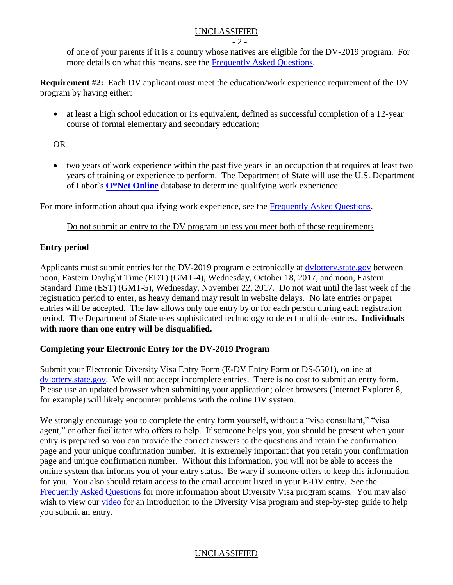$-2 -$ 

of one of your parents if it is a country whose natives are eligible for the DV-2019 program. For more details on what this means, see the [Frequently Asked Questions.](#page-7-0)

**Requirement #2:** Each DV applicant must meet the education*/*work experience requirement of the DV program by having either:

• at least a high school education or its equivalent, defined as successful completion of a 12-year course of formal elementary and secondary education;

OR

 two years of work experience within the past five years in an occupation that requires at least two years of training or experience to perform. The Department of State will use the U.S. Department of Labor's **[O\\*Net Online](http://online.onetcenter.org/)** database to determine qualifying work experience.

For more information about qualifying work experience, see the **Frequently Asked Questions**.

Do not submit an entry to the DV program unless you meet both of these requirements.

### **Entry period**

Applicants must submit entries for the DV-2019 program electronically at **dvlottery** state gov between noon, Eastern Daylight Time (EDT) (GMT-4), Wednesday, October 18, 2017, and noon, Eastern Standard Time (EST) (GMT-5), Wednesday, November 22, 2017. Do not wait until the last week of the registration period to enter, as heavy demand may result in website delays. No late entries or paper entries will be accepted. The law allows only one entry by or for each person during each registration period. The Department of State uses sophisticated technology to detect multiple entries. **Individuals with more than one entry will be disqualified.**

### **Completing your Electronic Entry for the DV-2019 Program**

Submit your Electronic Diversity Visa Entry Form (E-DV Entry Form or DS-5501), online at [dvlottery.state.gov.](https://www.dvlottery.state.gov/) We will not accept incomplete entries. There is no cost to submit an entry form. Please use an updated browser when submitting your application; older browsers (Internet Explorer 8, for example) will likely encounter problems with the online DV system.

We strongly encourage you to complete the entry form yourself, without a "visa consultant," "visa" agent," or other facilitator who offers to help. If someone helps you, you should be present when your entry is prepared so you can provide the correct answers to the questions and retain the confirmation page and your unique confirmation number. It is extremely important that you retain your confirmation page and unique confirmation number. Without this information, you will not be able to access the online system that informs you of your entry status. Be wary if someone offers to keep this information for you. You also should retain access to the email account listed in your E-DV entry. See the [Frequently Asked Questions](#page-14-0) for more information about Diversity Visa program scams. You may also wish to view our [video](https://www.youtube.com/watch?v=tOQlh2d2EbQ) for an introduction to the Diversity Visa program and step-by-step guide to help you submit an entry.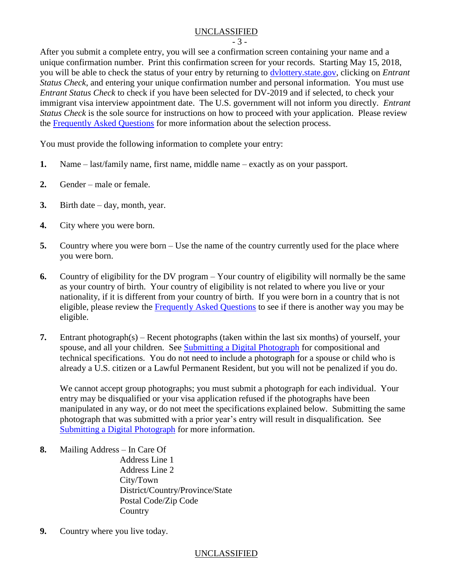- 3 -

After you submit a complete entry, you will see a confirmation screen containing your name and a unique confirmation number. Print this confirmation screen for your records. Starting May 15, 2018, you will be able to check the status of your entry by returning to [dvlottery.state.gov,](https://www.dvlottery.state.gov/) clicking on *Entrant Status Check*, and entering your unique confirmation number and personal information. You must use *Entrant Status Check* to check if you have been selected for DV-2019 and if selected, to check your immigrant visa interview appointment date. The U.S. government will not inform you directly. *Entrant Status Check* is the sole source for instructions on how to proceed with your application. Please review the [Frequently Asked Questions](#page-11-0) for more information about the selection process.

You must provide the following information to complete your entry:

- **1.** Name last/family name, first name, middle name exactly as on your passport.
- **2.** Gender male or female.
- **3.** Birth date day, month, year.
- **4.** City where you were born.
- **5.** Country where you were born Use the name of the country currently used for the place where you were born.
- **6.** Country of eligibility for the DV program Your country of eligibility will normally be the same as your country of birth. Your country of eligibility is not related to where you live or your nationality, if it is different from your country of birth. If you were born in a country that is not eligible, please review the [Frequently Asked Questions](#page-7-1) to see if there is another way you may be eligible.
- **7.** Entrant photograph(s) Recent photographs (taken within the last six months) of yourself, your spouse, and all your children. See [Submitting a Digital Photograph](#page-5-0) for compositional and technical specifications. You do not need to include a photograph for a spouse or child who is already a U.S. citizen or a Lawful Permanent Resident, but you will not be penalized if you do.

We cannot accept group photographs; you must submit a photograph for each individual. Your entry may be disqualified or your visa application refused if the photographs have been manipulated in any way, or do not meet the specifications explained below. Submitting the same photograph that was submitted with a prior year's entry will result in disqualification. See [Submitting a Digital Photograph](#page-5-0) for more information.

- **8.** Mailing Address In Care Of Address Line 1 Address Line 2 City/Town District/Country/Province/State Postal Code/Zip Code **Country**
- **9.** Country where you live today.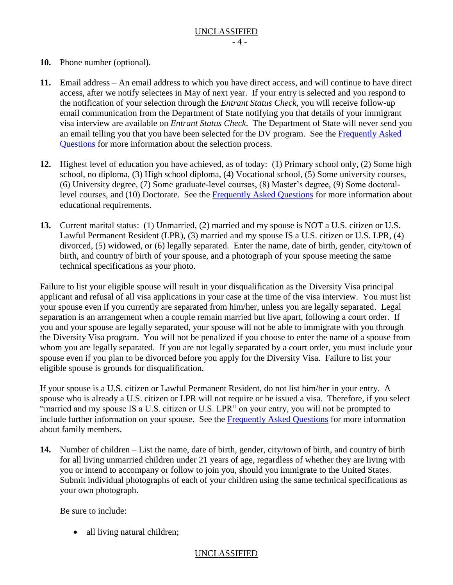- **10.** Phone number (optional).
- **11.** Email address An email address to which you have direct access, and will continue to have direct access, after we notify selectees in May of next year. If your entry is selected and you respond to the notification of your selection through the *Entrant Status Check*, you will receive follow-up email communication from the Department of State notifying you that details of your immigrant visa interview are available on *Entrant Status Check*. The Department of State will never send you an email telling you that you have been selected for the DV program. See the [Frequently Asked](#page-11-0)  [Questions](#page-11-0) for more information about the selection process.
- **12.** Highest level of education you have achieved, as of today: (1) Primary school only, (2) Some high school, no diploma, (3) High school diploma, (4) Vocational school, (5) Some university courses, (6) University degree, (7) Some graduate-level courses, (8) Master's degree, (9) Some doctorallevel courses, and (10) Doctorate. See the [Frequently Asked Questions](#page-8-0) for more information about educational requirements.
- **13.** Current marital status: (1) Unmarried, (2) married and my spouse is NOT a U.S. citizen or U.S. Lawful Permanent Resident (LPR), (3) married and my spouse IS a U.S. citizen or U.S. LPR, (4) divorced, (5) widowed, or (6) legally separated. Enter the name, date of birth, gender, city/town of birth, and country of birth of your spouse, and a photograph of your spouse meeting the same technical specifications as your photo.

Failure to list your eligible spouse will result in your disqualification as the Diversity Visa principal applicant and refusal of all visa applications in your case at the time of the visa interview. You must list your spouse even if you currently are separated from him/her, unless you are legally separated. Legal separation is an arrangement when a couple remain married but live apart, following a court order. If you and your spouse are legally separated, your spouse will not be able to immigrate with you through the Diversity Visa program. You will not be penalized if you choose to enter the name of a spouse from whom you are legally separated. If you are not legally separated by a court order, you must include your spouse even if you plan to be divorced before you apply for the Diversity Visa. Failure to list your eligible spouse is grounds for disqualification.

If your spouse is a U.S. citizen or Lawful Permanent Resident, do not list him/her in your entry. A spouse who is already a U.S. citizen or LPR will not require or be issued a visa. Therefore, if you select "married and my spouse IS a U.S. citizen or U.S. LPR" on your entry, you will not be prompted to include further information on your spouse. See the [Frequently Asked Questions](#page-9-0) for more information about family members.

**14.** Number of children – List the name, date of birth, gender, city/town of birth, and country of birth for all living unmarried children under 21 years of age, regardless of whether they are living with you or intend to accompany or follow to join you, should you immigrate to the United States. Submit individual photographs of each of your children using the same technical specifications as your own photograph.

Be sure to include:

• all living natural children;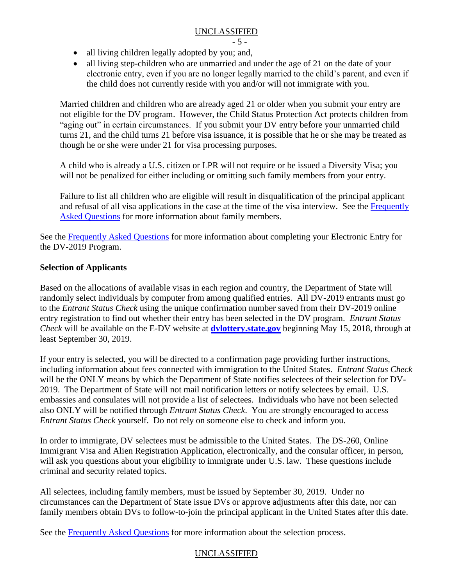- 5 -

- all living children legally adopted by you; and,
- all living step-children who are unmarried and under the age of 21 on the date of your electronic entry, even if you are no longer legally married to the child's parent, and even if the child does not currently reside with you and/or will not immigrate with you.

Married children and children who are already aged 21 or older when you submit your entry are not eligible for the DV program. However, the Child Status Protection Act protects children from "aging out" in certain circumstances. If you submit your DV entry before your unmarried child turns 21, and the child turns 21 before visa issuance, it is possible that he or she may be treated as though he or she were under 21 for visa processing purposes.

A child who is already a U.S. citizen or LPR will not require or be issued a Diversity Visa; you will not be penalized for either including or omitting such family members from your entry.

Failure to list all children who are eligible will result in disqualification of the principal applicant and refusal of all visa applications in the case at the time of the visa interview. See the [Frequently](#page-9-0)  [Asked Questions](#page-9-0) for more information about family members.

See the [Frequently Asked Questions](#page-8-1) for more information about completing your Electronic Entry for the DV-2019 Program.

### **Selection of Applicants**

Based on the allocations of available visas in each region and country, the Department of State will randomly select individuals by computer from among qualified entries. All DV-2019 entrants must go to the *Entrant Status Check* using the unique confirmation number saved from their DV-2019 online entry registration to find out whether their entry has been selected in the DV program. *Entrant Status Check* will be available on the E-DV website at **[dvlottery.state.gov](http://dvlottery.state.gov/)** beginning May 15, 2018, through at least September 30, 2019.

If your entry is selected, you will be directed to a confirmation page providing further instructions, including information about fees connected with immigration to the United States. *Entrant Status Check* will be the ONLY means by which the Department of State notifies selectees of their selection for DV-2019. The Department of State will not mail notification letters or notify selectees by email. U.S. embassies and consulates will not provide a list of selectees. Individuals who have not been selected also ONLY will be notified through *Entrant Status Check*. You are strongly encouraged to access *Entrant Status Check* yourself. Do not rely on someone else to check and inform you.

In order to immigrate, DV selectees must be admissible to the United States. The DS-260, Online Immigrant Visa and Alien Registration Application, electronically, and the consular officer, in person, will ask you questions about your eligibility to immigrate under U.S. law. These questions include criminal and security related topics.

All selectees, including family members, must be issued by September 30, 2019. Under no circumstances can the Department of State issue DVs or approve adjustments after this date, nor can family members obtain DVs to follow-to-join the principal applicant in the United States after this date.

See the [Frequently Asked Questions](#page-11-0) for more information about the selection process.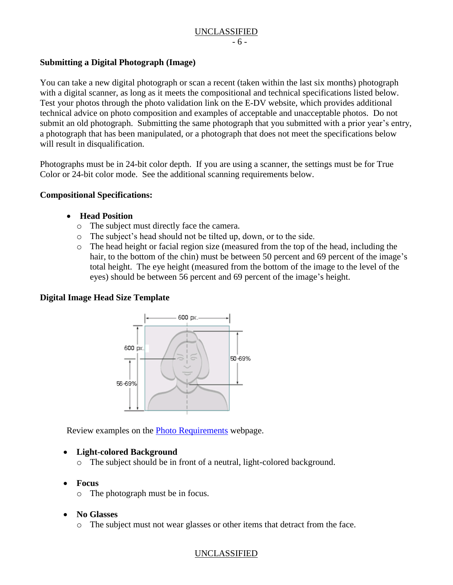### UNCLASSIFIED - 6 -

### <span id="page-5-0"></span>**Submitting a Digital Photograph (Image)**

You can take a new digital photograph or scan a recent (taken within the last six months) photograph with a digital scanner, as long as it meets the compositional and technical specifications listed below. Test your photos through the photo validation link on the E-DV website, which provides additional technical advice on photo composition and examples of acceptable and unacceptable photos. Do not submit an old photograph. Submitting the same photograph that you submitted with a prior year's entry, a photograph that has been manipulated, or a photograph that does not meet the specifications below will result in disqualification.

Photographs must be in 24-bit color depth. If you are using a scanner, the settings must be for True Color or 24-bit color mode. See the additional scanning requirements below.

### **Compositional Specifications:**

- **Head Position** 
	- o The subject must directly face the camera.
	- o The subject's head should not be tilted up, down, or to the side.
	- o The head height or facial region size (measured from the top of the head, including the hair, to the bottom of the chin) must be between 50 percent and 69 percent of the image's total height. The eye height (measured from the bottom of the image to the level of the eyes) should be between 56 percent and 69 percent of the image's height.

### **Digital Image Head Size Template**



Review examples on the [Photo Requirements](http://travel.state.gov/content/visas/en/general/photos.html) webpage.

### **Light-colored Background**

- o The subject should be in front of a neutral, light-colored background.
- **Focus**
	- o The photograph must be in focus.

### **No Glasses**

o The subject must not wear glasses or other items that detract from the face.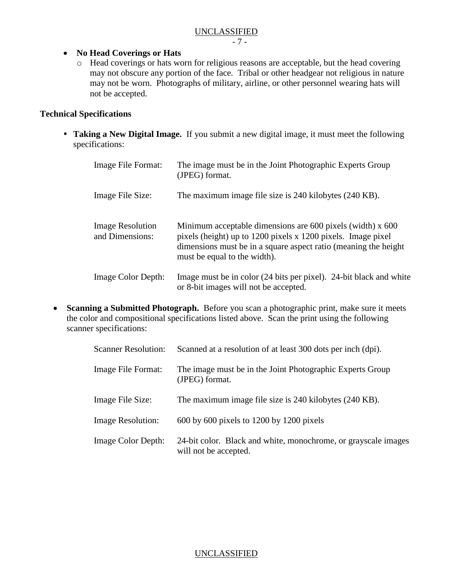- 7 -

### **No Head Coverings or Hats**

o Head coverings or hats worn for religious reasons are acceptable, but the head covering may not obscure any portion of the face. Tribal or other headgear not religious in nature may not be worn. Photographs of military, airline, or other personnel wearing hats will not be accepted.

### **Technical Specifications**

 **Taking a New Digital Image.** If you submit a new digital image, it must meet the following specifications:

| Image File Format:                         | The image must be in the Joint Photographic Experts Group<br>(JPEG) format.                                                                                                                                                        |
|--------------------------------------------|------------------------------------------------------------------------------------------------------------------------------------------------------------------------------------------------------------------------------------|
| Image File Size:                           | The maximum image file size is 240 kilobytes (240 KB).                                                                                                                                                                             |
| <b>Image Resolution</b><br>and Dimensions: | Minimum acceptable dimensions are $600$ pixels (width) x $600$<br>pixels (height) up to 1200 pixels x 1200 pixels. Image pixel<br>dimensions must be in a square aspect ratio (meaning the height)<br>must be equal to the width). |
| Image Color Depth:                         | Image must be in color (24 bits per pixel). 24-bit black and white<br>or 8-bit images will not be accepted.                                                                                                                        |

 **Scanning a Submitted Photograph.** Before you scan a photographic print, make sure it meets the color and compositional specifications listed above. Scan the print using the following scanner specifications:

| <b>Scanner Resolution:</b> | Scanned at a resolution of at least 300 dots per inch (dpi).                            |
|----------------------------|-----------------------------------------------------------------------------------------|
| Image File Format:         | The image must be in the Joint Photographic Experts Group<br>(JPEG) format.             |
| Image File Size:           | The maximum image file size is 240 kilobytes (240 KB).                                  |
| <b>Image Resolution:</b>   | $600$ by $600$ pixels to $1200$ by $1200$ pixels                                        |
| <b>Image Color Depth:</b>  | 24-bit color. Black and white, monochrome, or grayscale images<br>will not be accepted. |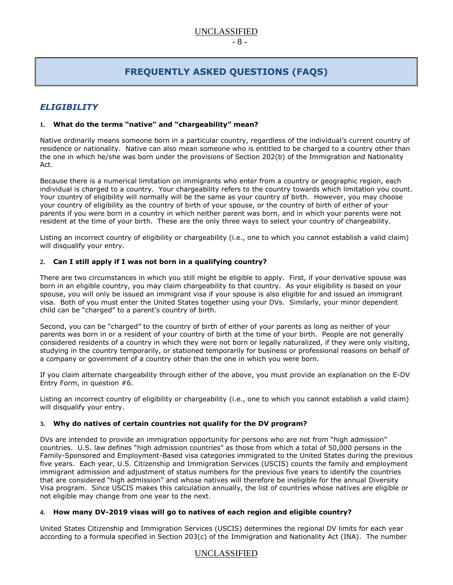# **FREQUENTLY ASKED QUESTIONS (FAQS)**

### <span id="page-7-0"></span>*ELIGIBILITY*

#### **1. What do the terms "native" and "chargeability" mean?**

Native ordinarily means someone born in a particular country, regardless of the individual's current country of residence or nationality. Native can also mean someone who is entitled to be charged to a country other than the one in which he/she was born under the provisions of Section 202(b) of the Immigration and Nationality Act.

Because there is a numerical limitation on immigrants who enter from a country or geographic region, each individual is charged to a country. Your chargeability refers to the country towards which limitation you count. Your country of eligibility will normally will be the same as your country of birth. However, you may choose your country of eligibility as the country of birth of your spouse, or the country of birth of either of your parents if you were born in a country in which neither parent was born, and in which your parents were not resident at the time of your birth. These are the only three ways to select your country of chargeability.

Listing an incorrect country of eligibility or chargeability (i.e., one to which you cannot establish a valid claim) will disqualify your entry.

#### <span id="page-7-1"></span>**2. Can I still apply if I was not born in a qualifying country?**

There are two circumstances in which you still might be eligible to apply. First, if your derivative spouse was born in an eligible country, you may claim chargeability to that country. As your eligibility is based on your spouse, you will only be issued an immigrant visa if your spouse is also eligible for and issued an immigrant visa. Both of you must enter the United States together using your DVs. Similarly, your minor dependent child can be "charged" to a parent's country of birth.

Second, you can be "charged" to the country of birth of either of your parents as long as neither of your parents was born in or a resident of your country of birth at the time of your birth. People are not generally considered residents of a country in which they were not born or legally naturalized, if they were only visiting, studying in the country temporarily, or stationed temporarily for business or professional reasons on behalf of a company or government of a country other than the one in which you were born.

If you claim alternate chargeability through either of the above, you must provide an explanation on the E-DV Entry Form, in question #6.

Listing an incorrect country of eligibility or chargeability (i.e., one to which you cannot establish a valid claim) will disqualify your entry.

#### **3. Why do natives of certain countries not qualify for the DV program?**

DVs are intended to provide an immigration opportunity for persons who are not from "high admission" countries. U.S. law defines "high admission countries" as those from which a total of 50,000 persons in the Family-Sponsored and Employment-Based visa categories immigrated to the United States during the previous five years. Each year, U.S. Citizenship and Immigration Services (USCIS) counts the family and employment immigrant admission and adjustment of status numbers for the previous five years to identify the countries that are considered "high admission" and whose natives will therefore be ineligible for the annual Diversity Visa program. Since USCIS makes this calculation annually, the list of countries whose natives are eligible or not eligible may change from one year to the next.

#### **4. How many DV-2019 visas will go to natives of each region and eligible country?**

United States Citizenship and Immigration Services (USCIS) determines the regional DV limits for each year according to a formula specified in Section 203(c) of the Immigration and Nationality Act (INA). The number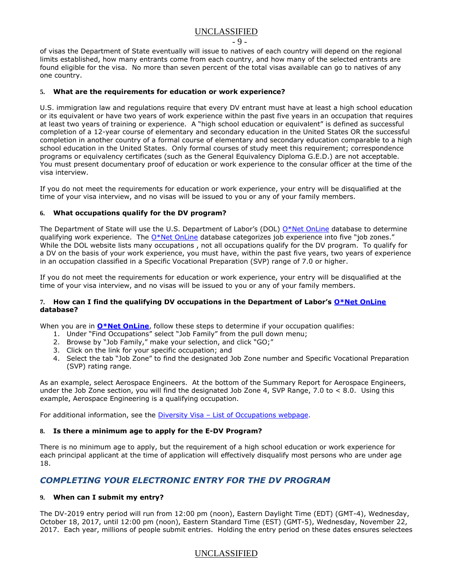- 9 -

of visas the Department of State eventually will issue to natives of each country will depend on the regional limits established, how many entrants come from each country, and how many of the selected entrants are found eligible for the visa. No more than seven percent of the total visas available can go to natives of any one country.

#### <span id="page-8-0"></span>**5. What are the requirements for education or work experience?**

U.S. immigration law and regulations require that every DV entrant must have at least a high school education or its equivalent or have two years of work experience within the past five years in an occupation that requires at least two years of training or experience. A "high school education or equivalent" is defined as successful completion of a 12-year course of elementary and secondary education in the United States OR the successful completion in another country of a formal course of elementary and secondary education comparable to a high school education in the United States. Only formal courses of study meet this requirement; correspondence programs or equivalency certificates (such as the General Equivalency Diploma G.E.D.) are not acceptable. You must present documentary proof of education or work experience to the consular officer at the time of the visa interview.

If you do not meet the requirements for education or work experience, your entry will be disqualified at the time of your visa interview, and no visas will be issued to you or any of your family members.

#### **6. What occupations qualify for the DV program?**

The Department of State will use the U.S. Department of Labor's (DOL) [O\\*Net OnLine](http://online.onetcenter.org/) database to determine qualifying work experience. The [O\\*Net OnLine](http://online.onetcenter.org/) database categorizes job experience into five "job zones." While the DOL website lists many occupations , not all occupations qualify for the DV program. To qualify for a DV on the basis of your work experience, you must have, within the past five years, two years of experience in an occupation classified in a Specific Vocational Preparation (SVP) range of 7.0 or higher.

If you do not meet the requirements for education or work experience, your entry will be disqualified at the time of your visa interview, and no visas will be issued to you or any of your family members.

#### **7. How can I find the qualifying DV occupations in the Department of Labor's [O\\*Net OnLine](http://online.onetcenter.org/) database?**

When you are in **[O\\*Net OnLine](http://online.onetcenter.org/)**, follow these steps to determine if your occupation qualifies:

- 1. Under "Find Occupations" select "Job Family" from the pull down menu;
- 2. Browse by "Job Family," make your selection, and click "GO;"
- 3. Click on the link for your specific occupation; and
- 4. Select the tab "Job Zone" to find the designated Job Zone number and Specific Vocational Preparation (SVP) rating range.

As an example, select Aerospace Engineers. At the bottom of the Summary Report for Aerospace Engineers, under the Job Zone section, you will find the designated Job Zone 4, SVP Range, 7.0 to < 8.0. Using this example, Aerospace Engineering is a qualifying occupation.

For additional information, see the Diversity Visa - [List of Occupations webpage.](http://travel.state.gov/content/visas/english/immigrate/diversity-visa/if-you-are-selected/confirm-your-qualifications.html)

#### **8. Is there a minimum age to apply for the E-DV Program?**

There is no minimum age to apply, but the requirement of a high school education or work experience for each principal applicant at the time of application will effectively disqualify most persons who are under age 18.

### <span id="page-8-1"></span>*COMPLETING YOUR ELECTRONIC ENTRY FOR THE DV PROGRAM*

#### **9. When can I submit my entry?**

The DV-2019 entry period will run from 12:00 pm (noon), Eastern Daylight Time (EDT) (GMT-4), Wednesday, October 18, 2017, until 12:00 pm (noon), Eastern Standard Time (EST) (GMT-5), Wednesday, November 22, 2017. Each year, millions of people submit entries. Holding the entry period on these dates ensures selectees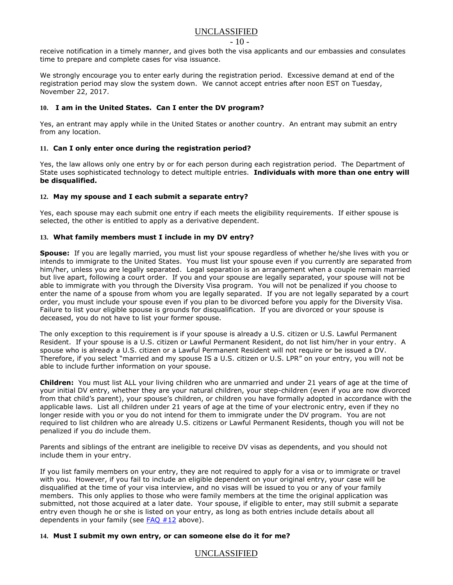#### - 10 -

receive notification in a timely manner, and gives both the visa applicants and our embassies and consulates time to prepare and complete cases for visa issuance.

We strongly encourage you to enter early during the registration period. Excessive demand at end of the registration period may slow the system down. We cannot accept entries after noon EST on Tuesday, November 22, 2017.

#### **10. I am in the United States. Can I enter the DV program?**

Yes, an entrant may apply while in the United States or another country. An entrant may submit an entry from any location.

#### **11. Can I only enter once during the registration period?**

Yes, the law allows only one entry by or for each person during each registration period. The Department of State uses sophisticated technology to detect multiple entries. **Individuals with more than one entry will be disqualified.** 

#### <span id="page-9-1"></span>**12. May my spouse and I each submit a separate entry?**

Yes, each spouse may each submit one entry if each meets the eligibility requirements. If either spouse is selected, the other is entitled to apply as a derivative dependent.

#### <span id="page-9-0"></span>**13. What family members must I include in my DV entry?**

**Spouse:** If you are legally married, you must list your spouse regardless of whether he/she lives with you or intends to immigrate to the United States. You must list your spouse even if you currently are separated from him/her, unless you are legally separated. Legal separation is an arrangement when a couple remain married but live apart, following a court order. If you and your spouse are legally separated, your spouse will not be able to immigrate with you through the Diversity Visa program. You will not be penalized if you choose to enter the name of a spouse from whom you are legally separated. If you are not legally separated by a court order, you must include your spouse even if you plan to be divorced before you apply for the Diversity Visa. Failure to list your eligible spouse is grounds for disqualification. If you are divorced or your spouse is deceased, you do not have to list your former spouse.

The only exception to this requirement is if your spouse is already a U.S. citizen or U.S. Lawful Permanent Resident.If your spouse is a U.S. citizen or Lawful Permanent Resident, do not list him/her in your entry. A spouse who is already a U.S. citizen or a Lawful Permanent Resident will not require or be issued a DV. Therefore, if you select "married and my spouse IS a U.S. citizen or U.S. LPR" on your entry, you will not be able to include further information on your spouse.

**Children:** You must list ALL your living children who are unmarried and under 21 years of age at the time of your initial DV entry, whether they are your natural children, your step-children (even if you are now divorced from that child's parent), your spouse's children, or children you have formally adopted in accordance with the applicable laws. List all children under 21 years of age at the time of your electronic entry, even if they no longer reside with you or you do not intend for them to immigrate under the DV program.You are not required to list children who are already U.S. citizens or Lawful Permanent Residents, though you will not be penalized if you do include them.

Parents and siblings of the entrant are ineligible to receive DV visas as dependents, and you should not include them in your entry.

If you list family members on your entry, they are not required to apply for a visa or to immigrate or travel with you. However, if you fail to include an eligible dependent on your original entry, your case will be disqualified at the time of your visa interview, and no visas will be issued to you or any of your family members. This only applies to those who were family members at the time the original application was submitted, not those acquired at a later date. Your spouse, if eligible to enter, may still submit a separate entry even though he or she is listed on your entry, as long as both entries include details about all dependents in your family (see  $FAQ #12$  above).

#### **14. Must I submit my own entry, or can someone else do it for me?**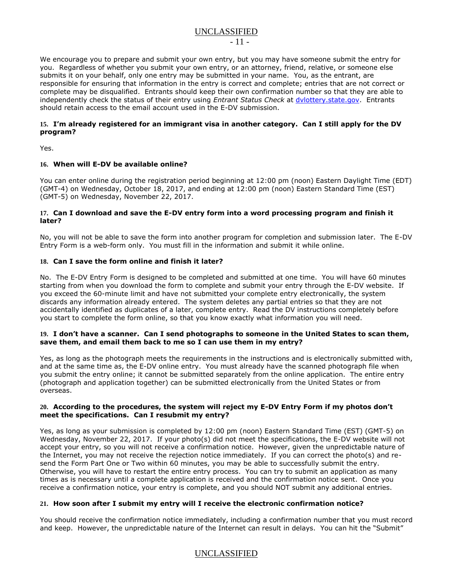- 11 -

We encourage you to prepare and submit your own entry, but you may have someone submit the entry for you. Regardless of whether you submit your own entry, or an attorney, friend, relative, or someone else submits it on your behalf, only one entry may be submitted in your name. You, as the entrant, are responsible for ensuring that information in the entry is correct and complete; entries that are not correct or complete may be disqualified. Entrants should keep their own confirmation number so that they are able to independently check the status of their entry using *Entrant Status Check* at [dvlottery.state.gov.](http://dvlottery.state.gov/) Entrants should retain access to the email account used in the E-DV submission.

#### **15. I'm already registered for an immigrant visa in another category. Can I still apply for the DV program?**

Yes.

#### **16. When will E-DV be available online?**

You can enter online during the registration period beginning at 12:00 pm (noon) Eastern Daylight Time (EDT) (GMT-4) on Wednesday, October 18, 2017, and ending at 12:00 pm (noon) Eastern Standard Time (EST) (GMT-5) on Wednesday, November 22, 2017.

#### **17. Can I download and save the E-DV entry form into a word processing program and finish it later?**

No, you will not be able to save the form into another program for completion and submission later. The E-DV Entry Form is a web-form only. You must fill in the information and submit it while online.

#### **18. Can I save the form online and finish it later?**

No. The E-DV Entry Form is designed to be completed and submitted at one time. You will have 60 minutes starting from when you download the form to complete and submit your entry through the E-DV website. If you exceed the 60-minute limit and have not submitted your complete entry electronically, the system discards any information already entered. The system deletes any partial entries so that they are not accidentally identified as duplicates of a later, complete entry. Read the DV instructions completely before you start to complete the form online, so that you know exactly what information you will need.

#### **19. I don't have a scanner. Can I send photographs to someone in the United States to scan them, save them, and email them back to me so I can use them in my entry?**

Yes, as long as the photograph meets the requirements in the instructions and is electronically submitted with, and at the same time as, the E-DV online entry. You must already have the scanned photograph file when you submit the entry online; it cannot be submitted separately from the online application. The entire entry (photograph and application together) can be submitted electronically from the United States or from overseas.

#### **20. According to the procedures, the system will reject my E-DV Entry Form if my photos don't meet the specifications. Can I resubmit my entry?**

Yes, as long as your submission is completed by 12:00 pm (noon) Eastern Standard Time (EST) (GMT-5) on Wednesday, November 22, 2017. If your photo(s) did not meet the specifications, the E-DV website will not accept your entry, so you will not receive a confirmation notice. However, given the unpredictable nature of the Internet, you may not receive the rejection notice immediately. If you can correct the photo(s) and resend the Form Part One or Two within 60 minutes, you may be able to successfully submit the entry. Otherwise, you will have to restart the entire entry process. You can try to submit an application as many times as is necessary until a complete application is received and the confirmation notice sent. Once you receive a confirmation notice, your entry is complete, and you should NOT submit any additional entries.

#### **21. How soon after I submit my entry will I receive the electronic confirmation notice?**

You should receive the confirmation notice immediately, including a confirmation number that you must record and keep. However, the unpredictable nature of the Internet can result in delays. You can hit the "Submit"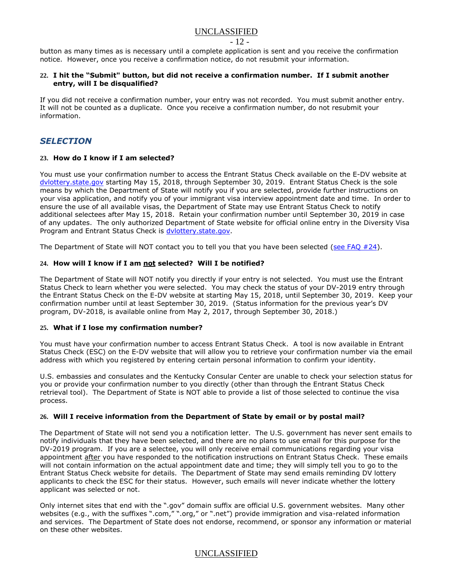$-12.$ 

button as many times as is necessary until a complete application is sent and you receive the confirmation notice. However, once you receive a confirmation notice, do not resubmit your information.

#### **22. I hit the "Submit" button, but did not receive a confirmation number. If I submit another entry, will I be disqualified?**

If you did not receive a confirmation number, your entry was not recorded. You must submit another entry. It will not be counted as a duplicate. Once you receive a confirmation number, do not resubmit your information.

### <span id="page-11-0"></span>*SELECTION*

#### **23. How do I know if I am selected?**

You must use your confirmation number to access the Entrant Status Check available on the E-DV website at [dvlottery.state.gov](http://dvlottery.state.gov/) starting May 15, 2018, through September 30, 2019. Entrant Status Check is the sole means by which the Department of State will notify you if you are selected, provide further instructions on your visa application, and notify you of your immigrant visa interview appointment date and time. In order to ensure the use of all available visas, the Department of State may use Entrant Status Check to notify additional selectees after May 15, 2018. Retain your confirmation number until September 30, 2019 in case of any updates. The only authorized Department of State website for official online entry in the Diversity Visa Program and Entrant Status Check is [dvlottery.state.gov.](http://dvlottery.state.gov/)

The Department of State will NOT contact you to tell you that you have been selected (see FAQ  $#24$ ).

#### <span id="page-11-1"></span>**24. How will I know if I am not selected? Will I be notified?**

The Department of State will NOT notify you directly if your entry is not selected. You must use the Entrant Status Check to learn whether you were selected. You may check the status of your DV-2019 entry through the Entrant Status Check on the E-DV website at starting May 15, 2018, until September 30, 2019. Keep your confirmation number until at least September 30, 2019. (Status information for the previous year's DV program, DV-2018, is available online from May 2, 2017, through September 30, 2018.)

#### **25. What if I lose my confirmation number?**

You must have your confirmation number to access Entrant Status Check. A tool is now available in Entrant Status Check (ESC) on the E-DV website that will allow you to retrieve your confirmation number via the email address with which you registered by entering certain personal information to confirm your identity.

U.S. embassies and consulates and the Kentucky Consular Center are unable to check your selection status for you or provide your confirmation number to you directly (other than through the Entrant Status Check retrieval tool). The Department of State is NOT able to provide a list of those selected to continue the visa process.

#### **26. Will I receive information from the Department of State by email or by postal mail?**

The Department of State will not send you a notification letter. The U.S. government has never sent emails to notify individuals that they have been selected, and there are no plans to use email for this purpose for the DV-2019 program. If you are a selectee, you will only receive email communications regarding your visa appointment after you have responded to the notification instructions on Entrant Status Check. These emails will not contain information on the actual appointment date and time; they will simply tell you to go to the Entrant Status Check website for details. The Department of State may send emails reminding DV lottery applicants to check the ESC for their status. However, such emails will never indicate whether the lottery applicant was selected or not.

Only internet sites that end with the ".gov" domain suffix are official U.S. government websites. Many other websites (e.g., with the suffixes ".com," ".org," or ".net") provide immigration and visa-related information and services. The Department of State does not endorse, recommend, or sponsor any information or material on these other websites.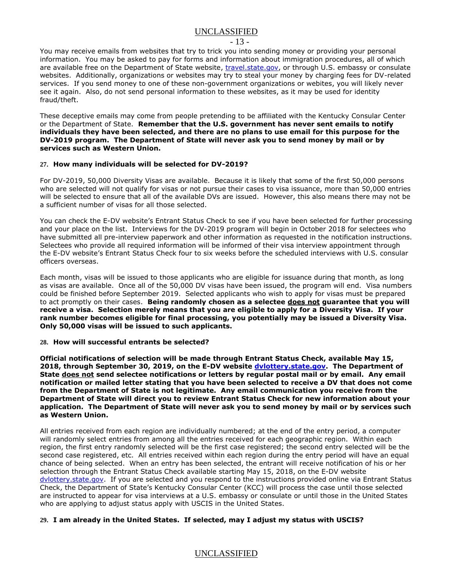#### - 13 -

You may receive emails from websites that try to trick you into sending money or providing your personal information. You may be asked to pay for forms and information about immigration procedures, all of which are available free on the Department of State website, [travel.state.gov,](https://travel.state.gov/content/visas/en.html) or through U.S. embassy or consulate websites. Additionally, organizations or websites may try to steal your money by charging fees for DV-related services. If you send money to one of these non-government organizations or webites, you will likely never see it again. Also, do not send personal information to these websites, as it may be used for identity fraud/theft.

These deceptive emails may come from people pretending to be affiliated with the Kentucky Consular Center or the Department of State. **Remember that the U.S. government has never sent emails to notify individuals they have been selected, and there are no plans to use email for this purpose for the DV-2019 program. The Department of State will never ask you to send money by mail or by services such as Western Union.**

#### **27. How many individuals will be selected for DV-2019?**

For DV-2019, 50,000 Diversity Visas are available. Because it is likely that some of the first 50,000 persons who are selected will not qualify for visas or not pursue their cases to visa issuance, more than 50,000 entries will be selected to ensure that all of the available DVs are issued. However, this also means there may not be a sufficient number of visas for all those selected.

You can check the E-DV website's Entrant Status Check to see if you have been selected for further processing and your place on the list. Interviews for the DV-2019 program will begin in October 2018 for selectees who have submitted all pre-interview paperwork and other information as requested in the notification instructions. Selectees who provide all required information will be informed of their visa interview appointment through the E-DV website's Entrant Status Check four to six weeks before the scheduled interviews with U.S. consular officers overseas.

Each month, visas will be issued to those applicants who are eligible for issuance during that month, as long as visas are available. Once all of the 50,000 DV visas have been issued, the program will end. Visa numbers could be finished before September 2019. Selected applicants who wish to apply for visas must be prepared to act promptly on their cases. **Being randomly chosen as a selectee does not guarantee that you will receive a visa. Selection merely means that you are eligible to apply for a Diversity Visa. If your rank number becomes eligible for final processing, you potentially may be issued a Diversity Visa. Only 50,000 visas will be issued to such applicants.**

#### **28. How will successful entrants be selected?**

**Official notifications of selection will be made through Entrant Status Check, available May 15, 2018, through September 30, 2019, on the E-DV website [dvlottery.state.gov.](http://dvlottery.state.gov/) The Department of State does not send selectee notifications or letters by regular postal mail or by email. Any email notification or mailed letter stating that you have been selected to receive a DV that does not come from the Department of State is not legitimate. Any email communication you receive from the Department of State will direct you to review Entrant Status Check for new information about your application. The Department of State will never ask you to send money by mail or by services such as Western Union.**

All entries received from each region are individually numbered; at the end of the entry period, a computer will randomly select entries from among all the entries received for each geographic region. Within each region, the first entry randomly selected will be the first case registered; the second entry selected will be the second case registered, etc. All entries received within each region during the entry period will have an equal chance of being selected. When an entry has been selected, the entrant will receive notification of his or her selection through the Entrant Status Check available starting May 15, 2018, on the E-DV website [dvlottery.state.gov.](http://dvlottery.state.gov/) If you are selected and you respond to the instructions provided online via Entrant Status Check, the Department of State's Kentucky Consular Center (KCC) will process the case until those selected are instructed to appear for visa interviews at a U.S. embassy or consulate or until those in the United States who are applying to adjust status apply with USCIS in the United States.

#### **29. I am already in the United States. If selected, may I adjust my status with USCIS?**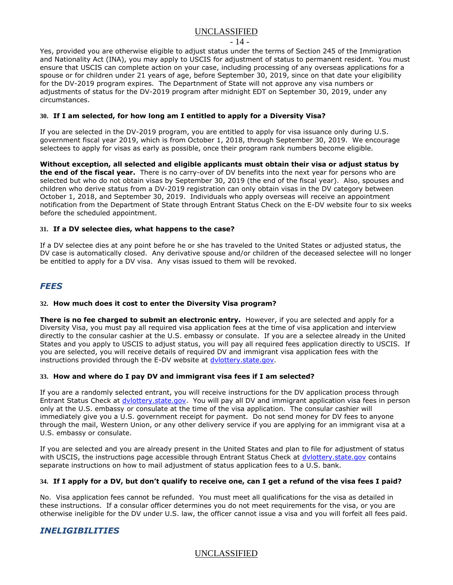#### - 14 -

Yes, provided you are otherwise eligible to adjust status under the terms of Section 245 of the Immigration and Nationality Act (INA), you may apply to USCIS for adjustment of status to permanent resident. You must ensure that USCIS can complete action on your case, including processing of any overseas applications for a spouse or for children under 21 years of age, before September 30, 2019, since on that date your eligibility for the DV-2019 program expires. The Departnment of State will not approve any visa numbers or adjustments of status for the DV-2019 program after midnight EDT on September 30, 2019, under any circumstances.

#### **30. If I am selected, for how long am I entitled to apply for a Diversity Visa?**

If you are selected in the DV-2019 program, you are entitled to apply for visa issuance only during U.S. government fiscal year 2019, which is from October 1, 2018, through September 30, 2019. We encourage selectees to apply for visas as early as possible, once their program rank numbers become eligible.

**Without exception, all selected and eligible applicants must obtain their visa or adjust status by the end of the fiscal year.** There is no carry-over of DV benefits into the next year for persons who are selected but who do not obtain visas by September 30, 2019 (the end of the fiscal year). Also, spouses and children who derive status from a DV-2019 registration can only obtain visas in the DV category between October 1, 2018, and September 30, 2019. Individuals who apply overseas will receive an appointment notification from the Department of State through Entrant Status Check on the E-DV website four to six weeks before the scheduled appointment.

#### **31. If a DV selectee dies, what happens to the case?**

If a DV selectee dies at any point before he or she has traveled to the United States or adjusted status, the DV case is automatically closed. Any derivative spouse and/or children of the deceased selectee will no longer be entitled to apply for a DV visa. Any visas issued to them will be revoked.

### *FEES*

#### **32. How much does it cost to enter the Diversity Visa program?**

**There is no fee charged to submit an electronic entry.** However, if you are selected and apply for a Diversity Visa, you must pay all required visa application fees at the time of visa application and interview directly to the consular cashier at the U.S. embassy or consulate. If you are a selectee already in the United States and you apply to USCIS to adjust status, you will pay all required fees application directly to USCIS. If you are selected, you will receive details of required DV and immigrant visa application fees with the instructions provided through the E-DV website at [dvlottery.state.gov.](http://dvlottery.state.gov/)

#### **33. How and where do I pay DV and immigrant visa fees if I am selected?**

If you are a randomly selected entrant, you will receive instructions for the DV application process through Entrant Status Check at [dvlottery.state.gov.](http://dvlottery.state.gov/) You will pay all DV and immigrant application visa fees in person only at the U.S. embassy or consulate at the time of the visa application. The consular cashier will immediately give you a U.S. government receipt for payment. Do not send money for DV fees to anyone through the mail, Western Union, or any other delivery service if you are applying for an immigrant visa at a U.S. embassy or consulate.

If you are selected and you are already present in the United States and plan to file for adjustment of status with USCIS, the instructions page accessible through Entrant Status Check at [dvlottery.state.gov](http://dvlottery.state.gov/) contains separate instructions on how to mail adjustment of status application fees to a U.S. bank.

#### **34. If I apply for a DV, but don't qualify to receive one, can I get a refund of the visa fees I paid?**

No. Visa application fees cannot be refunded. You must meet all qualifications for the visa as detailed in these instructions. If a consular officer determines you do not meet requirements for the visa, or you are otherwise ineligible for the DV under U.S. law, the officer cannot issue a visa and you will forfeit all fees paid.

### *INELIGIBILITIES*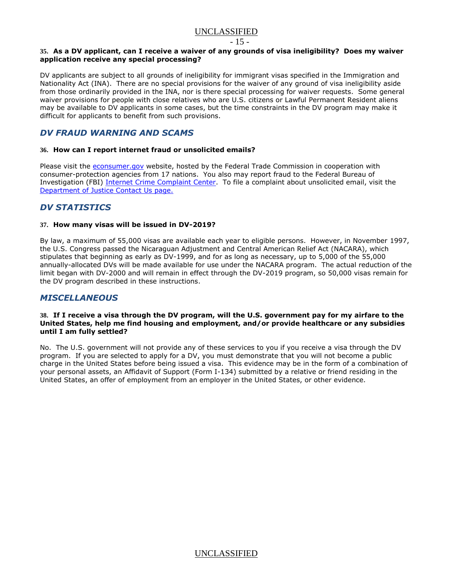$-15 -$ 

#### **35. As a DV applicant, can I receive a waiver of any grounds of visa ineligibility? Does my waiver application receive any special processing?**

DV applicants are subject to all grounds of ineligibility for immigrant visas specified in the Immigration and Nationality Act (INA).There are no special provisions for the waiver of any ground of visa ineligibility aside from those ordinarily provided in the INA, nor is there special processing for waiver requests. Some general waiver provisions for people with close relatives who are U.S. citizens or Lawful Permanent Resident aliens may be available to DV applicants in some cases, but the time constraints in the DV program may make it difficult for applicants to benefit from such provisions.

### <span id="page-14-0"></span>*DV FRAUD WARNING AND SCAMS*

#### **36. How can I report internet fraud or unsolicited emails?**

Please visit the [econsumer.gov](http://econsumer.gov/) website, hosted by the Federal Trade Commission in cooperation with consumer-protection agencies from 17 nations. You also may report fraud to the Federal Bureau of Investigation (FBI) [Internet Crime Complaint Center.](http://www.ic3.gov/) To file a complaint about unsolicited email, visit the [Department of Justice Contact Us page.](http://www.usdoj.gov/spam.htm)

### *DV STATISTICS*

#### **37. How many visas will be issued in DV-2019?**

By law, a maximum of 55,000 visas are available each year to eligible persons. However, in November 1997, the U.S. Congress passed the Nicaraguan Adjustment and Central American Relief Act (NACARA), which stipulates that beginning as early as DV-1999, and for as long as necessary, up to 5,000 of the 55,000 annually-allocated DVs will be made available for use under the NACARA program. The actual reduction of the limit began with DV-2000 and will remain in effect through the DV-2019 program, so 50,000 visas remain for the DV program described in these instructions.

### *MISCELLANEOUS*

#### **38. If I receive a visa through the DV program, will the U.S. government pay for my airfare to the United States, help me find housing and employment, and/or provide healthcare or any subsidies until I am fully settled?**

No. The U.S. government will not provide any of these services to you if you receive a visa through the DV program. If you are selected to apply for a DV, you must demonstrate that you will not become a public charge in the United States before being issued a visa. This evidence may be in the form of a combination of your personal assets, an Affidavit of Support (Form I-134) submitted by a relative or friend residing in the United States, an offer of employment from an employer in the United States, or other evidence.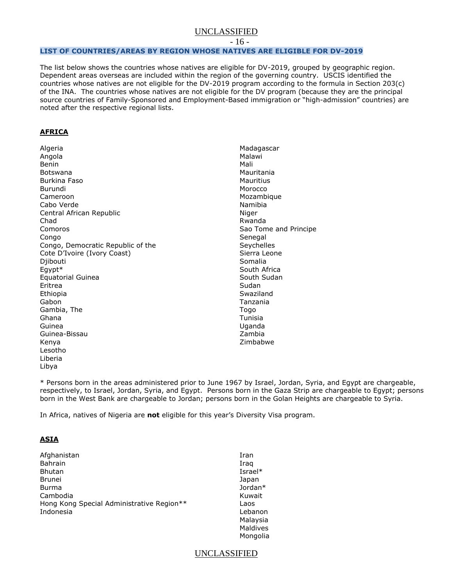- 16 -

#### <span id="page-15-0"></span>**LIST OF COUNTRIES/AREAS BY REGION WHOSE NATIVES ARE ELIGIBLE FOR DV-2019**

The list below shows the countries whose natives are eligible for DV-2019, grouped by geographic region. Dependent areas overseas are included within the region of the governing country. USCIS identified the countries whose natives are not eligible for the DV-2019 program according to the formula in Section 203(c) of the INA. The countries whose natives are not eligible for the DV program (because they are the principal source countries of Family-Sponsored and Employment-Based immigration or "high-admission" countries) are noted after the respective regional lists.

#### **AFRICA**

Algeria Angola Benin Botswana Burkina Faso Burundi Cameroon Cabo Verde Central African Republic Chad Comoros Congo Congo, Democratic Republic of the Cote D'Ivoire (Ivory Coast) Diibouti Egypt\* Equatorial Guinea Eritrea Ethiopia Gabon Gambia, The Ghana Guinea Guinea-Bissau Kenya Lesotho Liberia Libya

Madagascar Malawi Mali Mauritania Mauritius Morocco Mozambique Namibia Niger Rwanda Sao Tome and Principe **Senegal Sevchelles** Sierra Leone Somalia South Africa South Sudan Sudan Swaziland Tanzania Togo Tunisia Uganda Zambia Zimbabwe

\* Persons born in the areas administered prior to June 1967 by Israel, Jordan, Syria, and Egypt are chargeable, respectively, to Israel, Jordan, Syria, and Egypt. Persons born in the Gaza Strip are chargeable to Egypt; persons born in the West Bank are chargeable to Jordan; persons born in the Golan Heights are chargeable to Syria.

In Africa, natives of Nigeria are **not** eligible for this year's Diversity Visa program.

#### **ASIA**

| Afghanistan                               | Iran       |
|-------------------------------------------|------------|
| <b>Bahrain</b>                            | Iraq       |
| <b>Bhutan</b>                             | Israel $*$ |
| Brunei                                    | Japan      |
| Burma                                     | Jordan*    |
| Cambodia                                  | Kuwait     |
| Hong Kong Special Administrative Region** | Laos       |
| Indonesia                                 | Lebanon    |
|                                           | Malaysia   |
|                                           | Maldives   |
|                                           | Mongolia   |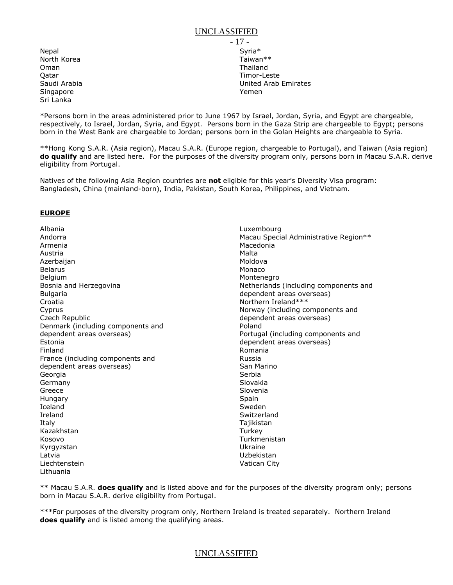Nepal North Korea Oman Qatar Saudi Arabia **Singapore** Sri Lanka

- 17 - Syria\* Taiwan\*\* Thailand Timor-Leste United Arab Emirates Yemen

\*Persons born in the areas administered prior to June 1967 by Israel, Jordan, Syria, and Egypt are chargeable, respectively, to Israel, Jordan, Syria, and Egypt. Persons born in the Gaza Strip are chargeable to Egypt; persons born in the West Bank are chargeable to Jordan; persons born in the Golan Heights are chargeable to Syria.

\*\*Hong Kong S.A.R. (Asia region), Macau S.A.R. (Europe region, chargeable to Portugal), and Taiwan (Asia region) **do qualify** and are listed here. For the purposes of the diversity program only, persons born in Macau S.A.R. derive eligibility from Portugal.

Natives of the following Asia Region countries are **not** eligible for this year's Diversity Visa program: Bangladesh, China (mainland-born), India, Pakistan, South Korea, Philippines, and Vietnam.

#### **EUROPE**

Albania Andorra Armenia Austria **Azerbaijan** Belarus Belgium Bosnia and Herzegovina Bulgaria Croatia Cyprus Czech Republic Denmark (including components and dependent areas overseas) Estonia Finland France (including components and dependent areas overseas) Georgia Germany Greece Hungary Iceland Ireland Italy Kazakhstan Kosovo Kyrgyzstan Latvia Liechtenstein Lithuania

Luxembourg Macau Special Administrative Region\*\* Macedonia Malta Moldova Monaco Montenegro Netherlands (including components and dependent areas overseas) Northern Ireland\*\*\* Norway (including components and dependent areas overseas) Poland Portugal (including components and dependent areas overseas) Romania Russia San Marino Serbia Slovakia Slovenia Spain Sweden Switzerland Tajikistan **Turkey** Turkmenistan Ukraine Uzbekistan Vatican City

\*\* Macau S.A.R. **does qualify** and is listed above and for the purposes of the diversity program only; persons born in Macau S.A.R. derive eligibility from Portugal.

\*\*\*For purposes of the diversity program only, Northern Ireland is treated separately. Northern Ireland **does qualify** and is listed among the qualifying areas.